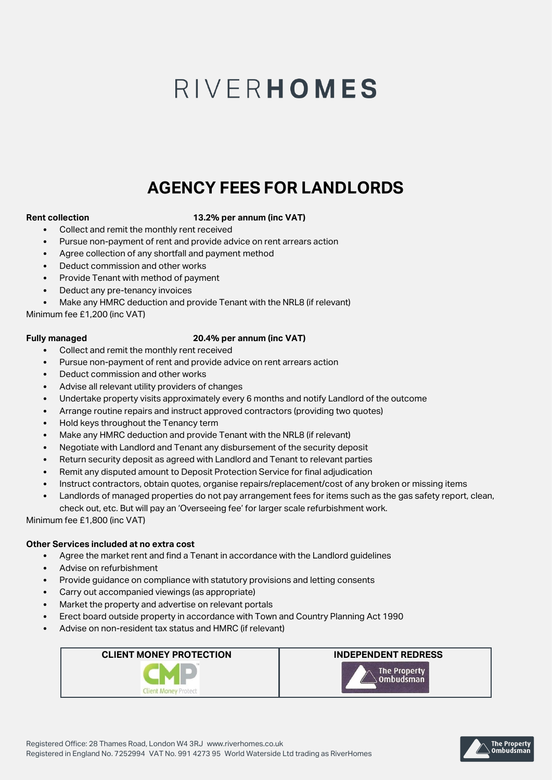# RIVERHOMES

## **AGENCY FEES FOR LANDLORDS**

#### **Rent collection 13.2% per annum (inc VAT)**

- Collect and remit the monthly rent received
- Pursue non-payment of rent and provide advice on rent arrears action
- Agree collection of any shortfall and payment method
- Deduct commission and other works
- Provide Tenant with method of payment
- Deduct any pre-tenancy invoices
- Make any HMRC deduction and provide Tenant with the NRL8 (if relevant)

Minimum fee £1,200 (inc VAT)

#### **Fully managed 20.4% per annum (inc VAT)**

- Collect and remit the monthly rent received
- Pursue non-payment of rent and provide advice on rent arrears action
- Deduct commission and other works
- Advise all relevant utility providers of changes
- Undertake property visits approximately every 6 months and notify Landlord of the outcome
- Arrange routine repairs and instruct approved contractors (providing two quotes)
- Hold keys throughout the Tenancy term
- Make any HMRC deduction and provide Tenant with the NRL8 (if relevant)
- Negotiate with Landlord and Tenant any disbursement of the security deposit
- Return security deposit as agreed with Landlord and Tenant to relevant parties
- Remit any disputed amount to Deposit Protection Service for final adjudication
- Instruct contractors, obtain quotes, organise repairs/replacement/cost of any broken or missing items
- Landlords of managed properties do not pay arrangement fees for items such as the gas safety report, clean,

check out, etc. But will pay an 'Overseeing fee' for larger scale refurbishment work.

Minimum fee £1,800 (inc VAT)

#### **Other Services included at no extra cost**

- Agree the market rent and find a Tenant in accordance with the Landlord guidelines
- Advise on refurbishment
- Provide guidance on compliance with statutory provisions and letting consents
- Carry out accompanied viewings (as appropriate)
- Market the property and advertise on relevant portals
- Erect board outside property in accordance with Town and Country Planning Act 1990
- Advise on non-resident tax status and HMRC (if relevant)





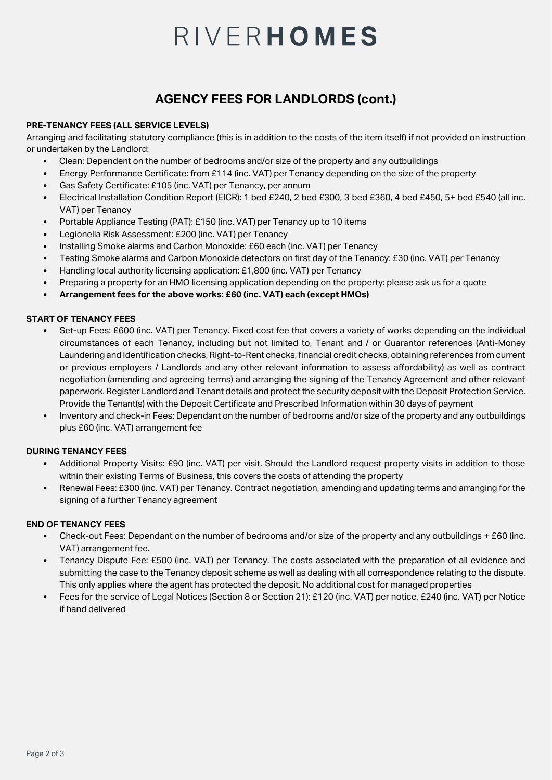# RIVERHOMES

## **AGENCY FEES FOR LANDLORDS (cont.)**

#### **PRE-TENANCY FEES (ALL SERVICE LEVELS)**

Arranging and facilitating statutory compliance (this is in addition to the costs of the item itself) if not provided on instruction or undertaken by the Landlord:

- Clean: Dependent on the number of bedrooms and/or size of the property and any outbuildings
- Energy Performance Certificate: from £114 (inc. VAT) per Tenancy depending on the size of the property
- Gas Safety Certificate: £105 (inc. VAT) per Tenancy, per annum
- Electrical Installation Condition Report (EICR): 1 bed £240, 2 bed £300, 3 bed £360, 4 bed £450, 5+ bed £540 (all inc. VAT) per Tenancy
- Portable Appliance Testing (PAT): £150 (inc. VAT) per Tenancy up to 10 items
- Legionella Risk Assessment: £200 (inc. VAT) per Tenancy
- Installing Smoke alarms and Carbon Monoxide: £60 each (inc. VAT) per Tenancy
- Testing Smoke alarms and Carbon Monoxide detectors on first day of the Tenancy: £30 (inc. VAT) per Tenancy
- Handling local authority licensing application: £1,800 (inc. VAT) per Tenancy
- Preparing a property for an HMO licensing application depending on the property: please ask us for a quote
- **Arrangement fees for the above works: £60 (inc. VAT) each (except HMOs)**

#### **START OF TENANCY FEES**

- Set-up Fees: £600 (inc. VAT) per Tenancy. Fixed cost fee that covers a variety of works depending on the individual circumstances of each Tenancy, including but not limited to, Tenant and / or Guarantor references (Anti-Money Laundering and Identification checks, Right-to-Rent checks, financial credit checks, obtaining references from current or previous employers / Landlords and any other relevant information to assess affordability) as well as contract negotiation (amending and agreeing terms) and arranging the signing of the Tenancy Agreement and other relevant paperwork. Register Landlord and Tenant details and protect the security deposit with the Deposit Protection Service. Provide the Tenant(s) with the Deposit Certificate and Prescribed Information within 30 days of payment
- Inventory and check-in Fees: Dependant on the number of bedrooms and/or size of the property and any outbuildings plus £60 (inc. VAT) arrangement fee

#### **DURING TENANCY FEES**

- Additional Property Visits: £90 (inc. VAT) per visit. Should the Landlord request property visits in addition to those within their existing Terms of Business, this covers the costs of attending the property
- Renewal Fees: £300 (inc. VAT) per Tenancy. Contract negotiation, amending and updating terms and arranging for the signing of a further Tenancy agreement

#### **END OF TENANCY FEES**

- Check-out Fees: Dependant on the number of bedrooms and/or size of the property and any outbuildings + £60 (inc. VAT) arrangement fee.
- Tenancy Dispute Fee: £500 (inc. VAT) per Tenancy. The costs associated with the preparation of all evidence and submitting the case to the Tenancy deposit scheme as well as dealing with all correspondence relating to the dispute. This only applies where the agent has protected the deposit. No additional cost for managed properties
- Fees for the service of Legal Notices (Section 8 or Section 21): £120 (inc. VAT) per notice, £240 (inc. VAT) per Notice if hand delivered